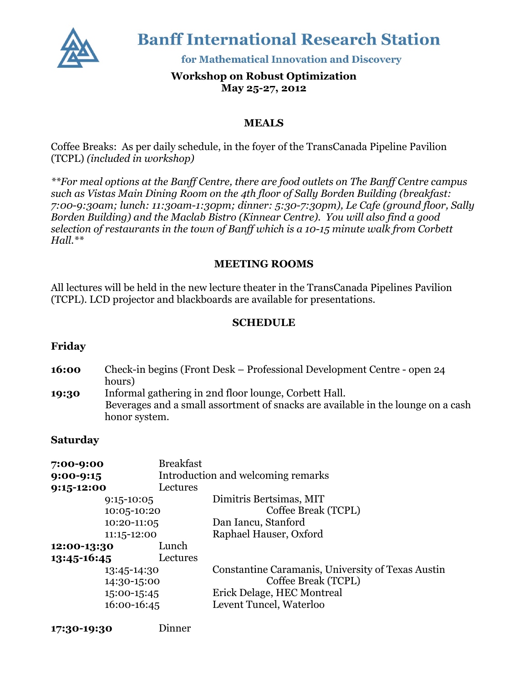

**Banff International Research Station** 

for Mathematical Innovation and Discovery

## **Workshop on Robust Optimization May 25-27, 2012**

### **MEALS**

Coffee Breaks: As per daily schedule, in the foyer of the TransCanada Pipeline Pavilion (TCPL) *(included in workshop)*

*\*\*For meal options at the Banff Centre, there are food outlets on The Banff Centre campus such as Vistas Main Dining Room on the 4th floor of Sally Borden Building (breakfast: 7:00-9:30am; lunch: 11:30am-1:30pm; dinner: 5:30-7:30pm), Le Cafe (ground floor, Sally Borden Building) and the Maclab Bistro (Kinnear Centre). You will also find a good selection of restaurants in the town of Banff which is a 10-15 minute walk from Corbett Hall.\*\**

### **MEETING ROOMS**

All lectures will be held in the new lecture theater in the TransCanada Pipelines Pavilion (TCPL). LCD projector and blackboards are available for presentations.

#### **SCHEDULE**

**16:00** Check-in begins (Front Desk – Professional Development Centre - open 24 hours) **19:30** Informal gathering in 2nd floor lounge, Corbett Hall. Beverages and a small assortment of snacks are available in the lounge on a cash honor system.

#### **Saturday**

| 7:00-9:00   | <b>Breakfast</b> |                                                   |
|-------------|------------------|---------------------------------------------------|
| $9:00-9:15$ |                  | Introduction and welcoming remarks                |
| 9:15-12:00  | Lectures         |                                                   |
|             | $9:15 - 10:05$   | Dimitris Bertsimas, MIT                           |
| 10:05-10:20 |                  | Coffee Break (TCPL)                               |
|             | 10:20-11:05      | Dan Iancu, Stanford                               |
|             | 11:15-12:00      | Raphael Hauser, Oxford                            |
| 12:00-13:30 | Lunch            |                                                   |
| 13:45-16:45 | Lectures         |                                                   |
| 13:45-14:30 |                  | Constantine Caramanis, University of Texas Austin |
| 14:30-15:00 |                  | Coffee Break (TCPL)                               |
|             | 15:00-15:45      | Erick Delage, HEC Montreal                        |
|             | 16:00-16:45      | Levent Tuncel, Waterloo                           |
|             |                  |                                                   |

**17:30-19:30** Dinner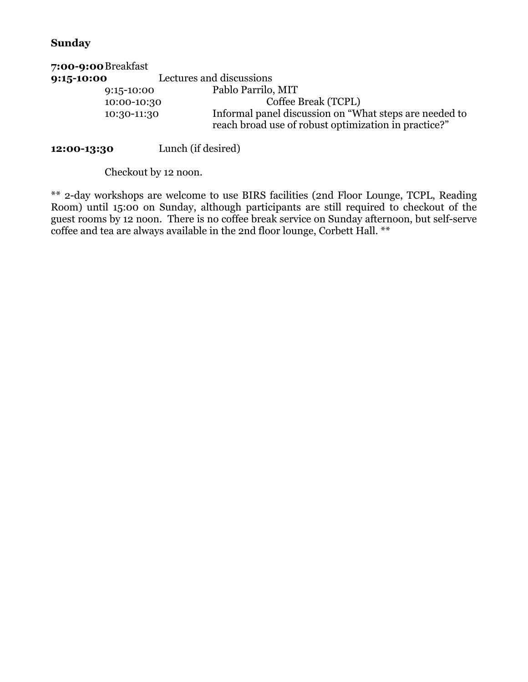# **Sunday**

| 7:00-9:00 Breakfast |                                                                                                                |
|---------------------|----------------------------------------------------------------------------------------------------------------|
| 9:15-10:00          | Lectures and discussions                                                                                       |
| $9:15 - 10:00$      | Pablo Parrilo, MIT                                                                                             |
| 10:00-10:30         | Coffee Break (TCPL)                                                                                            |
| 10:30-11:30         | Informal panel discussion on "What steps are needed to<br>reach broad use of robust optimization in practice?" |

**12:00-13:30** Lunch (if desired)

Checkout by 12 noon.

\*\* 2-day workshops are welcome to use BIRS facilities (2nd Floor Lounge, TCPL, Reading Room) until 15:00 on Sunday, although participants are still required to checkout of the guest rooms by 12 noon. There is no coffee break service on Sunday afternoon, but self-serve coffee and tea are always available in the 2nd floor lounge, Corbett Hall. \*\*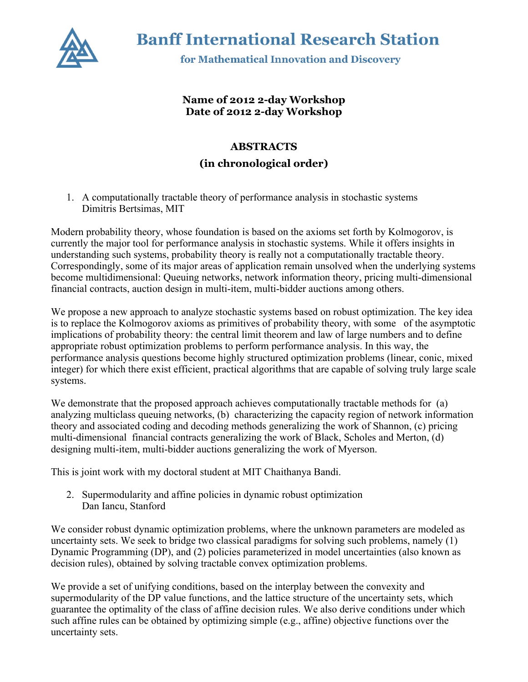

**Banff International Research Station** 

for Mathematical Innovation and Discovery

## **Name of 2012 2-day Workshop Date of 2012 2-day Workshop**

# **ABSTRACTS**

## **(in chronological order)**

1. A computationally tractable theory of performance analysis in stochastic systems Dimitris Bertsimas, MIT

Modern probability theory, whose foundation is based on the axioms set forth by Kolmogorov, is currently the major tool for performance analysis in stochastic systems. While it offers insights in understanding such systems, probability theory is really not a computationally tractable theory. Correspondingly, some of its major areas of application remain unsolved when the underlying systems become multidimensional: Queuing networks, network information theory, pricing multi-dimensional financial contracts, auction design in multi-item, multi-bidder auctions among others.

We propose a new approach to analyze stochastic systems based on robust optimization. The key idea is to replace the Kolmogorov axioms as primitives of probability theory, with some of the asymptotic implications of probability theory: the central limit theorem and law of large numbers and to define appropriate robust optimization problems to perform performance analysis. In this way, the performance analysis questions become highly structured optimization problems (linear, conic, mixed integer) for which there exist efficient, practical algorithms that are capable of solving truly large scale systems.

We demonstrate that the proposed approach achieves computationally tractable methods for (a) analyzing multiclass queuing networks, (b) characterizing the capacity region of network information theory and associated coding and decoding methods generalizing the work of Shannon, (c) pricing multi-dimensional financial contracts generalizing the work of Black, Scholes and Merton, (d) designing multi-item, multi-bidder auctions generalizing the work of Myerson.

This is joint work with my doctoral student at MIT Chaithanya Bandi.

2. Supermodularity and affine policies in dynamic robust optimization Dan Iancu, Stanford

We consider robust dynamic optimization problems, where the unknown parameters are modeled as uncertainty sets. We seek to bridge two classical paradigms for solving such problems, namely (1) Dynamic Programming (DP), and (2) policies parameterized in model uncertainties (also known as decision rules), obtained by solving tractable convex optimization problems.

We provide a set of unifying conditions, based on the interplay between the convexity and supermodularity of the DP value functions, and the lattice structure of the uncertainty sets, which guarantee the optimality of the class of affine decision rules. We also derive conditions under which such affine rules can be obtained by optimizing simple (e.g., affine) objective functions over the uncertainty sets.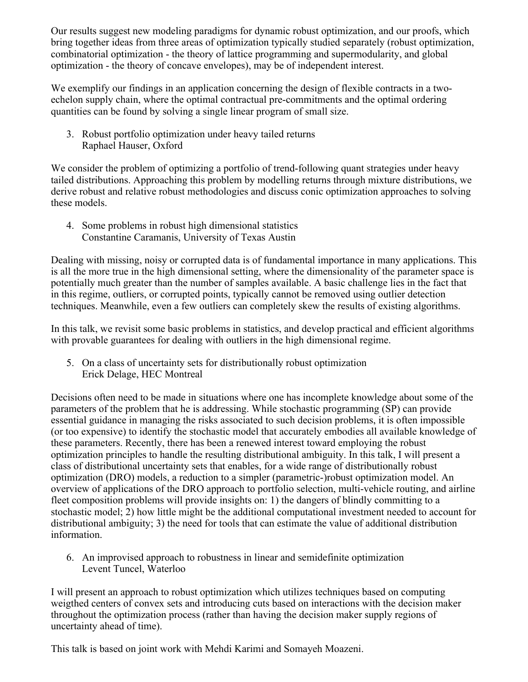Our results suggest new modeling paradigms for dynamic robust optimization, and our proofs, which bring together ideas from three areas of optimization typically studied separately (robust optimization, combinatorial optimization - the theory of lattice programming and supermodularity, and global optimization - the theory of concave envelopes), may be of independent interest.

We exemplify our findings in an application concerning the design of flexible contracts in a twoechelon supply chain, where the optimal contractual pre-commitments and the optimal ordering quantities can be found by solving a single linear program of small size.

3. Robust portfolio optimization under heavy tailed returns Raphael Hauser, Oxford

We consider the problem of optimizing a portfolio of trend-following quant strategies under heavy tailed distributions. Approaching this problem by modelling returns through mixture distributions, we derive robust and relative robust methodologies and discuss conic optimization approaches to solving these models.

4. Some problems in robust high dimensional statistics Constantine Caramanis, University of Texas Austin

Dealing with missing, noisy or corrupted data is of fundamental importance in many applications. This is all the more true in the high dimensional setting, where the dimensionality of the parameter space is potentially much greater than the number of samples available. A basic challenge lies in the fact that in this regime, outliers, or corrupted points, typically cannot be removed using outlier detection techniques. Meanwhile, even a few outliers can completely skew the results of existing algorithms.

In this talk, we revisit some basic problems in statistics, and develop practical and efficient algorithms with provable guarantees for dealing with outliers in the high dimensional regime.

5. On a class of uncertainty sets for distributionally robust optimization Erick Delage, HEC Montreal

Decisions often need to be made in situations where one has incomplete knowledge about some of the parameters of the problem that he is addressing. While stochastic programming (SP) can provide essential guidance in managing the risks associated to such decision problems, it is often impossible (or too expensive) to identify the stochastic model that accurately embodies all available knowledge of these parameters. Recently, there has been a renewed interest toward employing the robust optimization principles to handle the resulting distributional ambiguity. In this talk, I will present a class of distributional uncertainty sets that enables, for a wide range of distributionally robust optimization (DRO) models, a reduction to a simpler (parametric-)robust optimization model. An overview of applications of the DRO approach to portfolio selection, multi-vehicle routing, and airline fleet composition problems will provide insights on: 1) the dangers of blindly committing to a stochastic model; 2) how little might be the additional computational investment needed to account for distributional ambiguity; 3) the need for tools that can estimate the value of additional distribution information.

6. An improvised approach to robustness in linear and semidefinite optimization Levent Tuncel, Waterloo

I will present an approach to robust optimization which utilizes techniques based on computing weigthed centers of convex sets and introducing cuts based on interactions with the decision maker throughout the optimization process (rather than having the decision maker supply regions of uncertainty ahead of time).

This talk is based on joint work with Mehdi Karimi and Somayeh Moazeni.